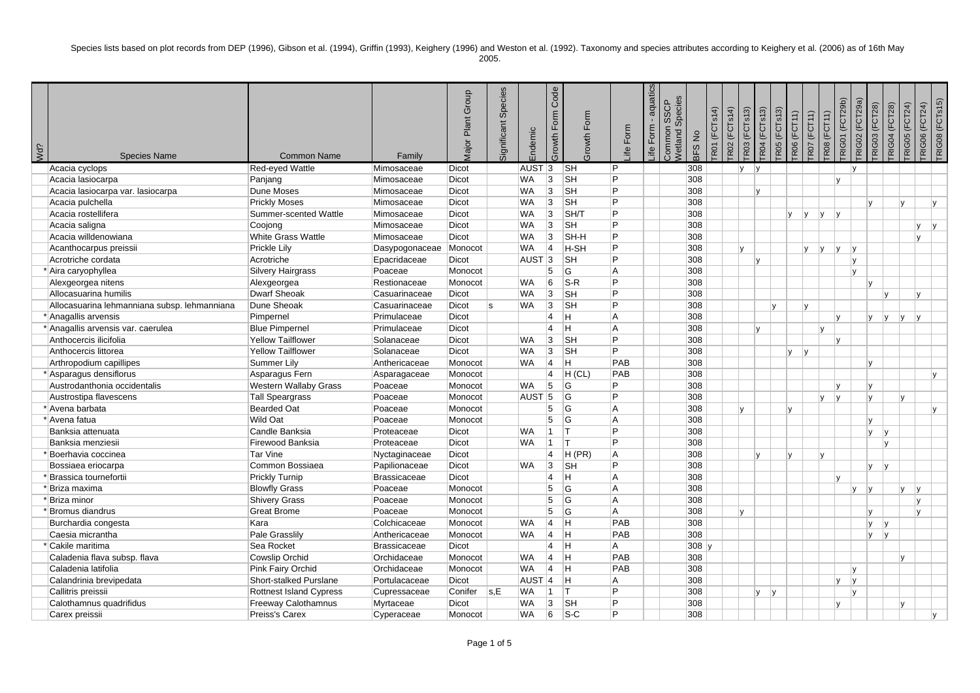Species lists based on plot records from DEP (1996), Gibson et al. (1994), Griffin (1993), Keighery (1996) and Weston et al. (1992). Taxonomy and species attributes according to Keighery et al. (2006) as of 16th May

| ٧ |
|---|
|---|

| ¿PM | <b>Species Name</b>                          | <b>Common Name</b>             | Family                 | Major Plant Group | Significant Species | Endemic           | Code<br>Form<br>Growth | rowth Form                | Form<br>≞      | aquatics<br>Form<br>Life | Species<br>SSCP<br>ommon<br>Netland<br><b>BFS No</b> | <b>RO1</b> (FCTs14) | <b>RO2</b> (FCTs14) | R03 (FCTs13) | TR04 (FCTs13) | TR05 (FCTs13) | <b>R06 (FCT11)</b> | <b>TRO7</b> (FCT11) | RIG01 (FCT29b)<br><b>R08 (FCT11)</b> | <b>TRIG02</b> (FCT29a) | RIG03 (FCT28) | <b>RIG04 (FCT28)</b>   | <b>TRIG05 (FCT24)</b> | TRIG08 (FCTs15)<br><b>TRIGO6 (FCT24)</b> |
|-----|----------------------------------------------|--------------------------------|------------------------|-------------------|---------------------|-------------------|------------------------|---------------------------|----------------|--------------------------|------------------------------------------------------|---------------------|---------------------|--------------|---------------|---------------|--------------------|---------------------|--------------------------------------|------------------------|---------------|------------------------|-----------------------|------------------------------------------|
|     | Acacia cyclops                               | Red-eyed Wattle                | Mimosaceae             | <b>Dicot</b>      |                     | AUST <sub>3</sub> |                        | <b>SH</b>                 | l P            |                          | 308                                                  |                     |                     | v            | $\mathsf{v}$  |               |                    |                     |                                      |                        |               |                        |                       |                                          |
|     | Acacia lasiocarpa                            | Panjang                        | Mimosaceae             | <b>Dicot</b>      |                     | <b>WA</b>         | 3                      | SH                        | ∣P             |                          | 308                                                  |                     |                     |              |               |               |                    |                     | $\mathsf{v}$                         |                        |               |                        |                       |                                          |
|     | Acacia lasiocarpa var. lasiocarpa            | Dune Moses                     | Mimosaceae             | <b>Dicot</b>      |                     | <b>WA</b>         | 3                      | <b>SH</b>                 | $\overline{P}$ |                          | 308                                                  |                     |                     |              | IV.           |               |                    |                     |                                      |                        |               |                        |                       |                                          |
|     | Acacia pulchella                             | <b>Prickly Moses</b>           | Mimosaceae             | <b>Dicot</b>      |                     | <b>WA</b>         | 3                      | <b>SH</b>                 | Þ              |                          | 308                                                  |                     |                     |              |               |               |                    |                     |                                      |                        | $\mathbf{v}$  |                        | Iv.                   | l v                                      |
|     | Acacia rostellifera                          | Summer-scented Wattle          | Mimosaceae             | <b>Dicot</b>      |                     | <b>WA</b>         | 3                      | SH/T                      | l P            |                          | 308                                                  |                     |                     |              |               |               | y <br><b>V</b>     | V                   | v                                    |                        |               |                        |                       |                                          |
|     | Acacia saligna                               | Coojong                        | Mimosaceae             | <b>Dicot</b>      |                     | <b>WA</b>         | 3                      | SH                        | Þ              |                          | 308                                                  |                     |                     |              |               |               |                    |                     |                                      |                        |               |                        | V                     | IV.                                      |
|     | Acacia willdenowiana                         | <b>White Grass Wattle</b>      | Mimosaceae             | <b>Dicot</b>      |                     | <b>WA</b>         | 3                      | SH-H                      | <b>P</b>       |                          | 308                                                  |                     |                     |              |               |               |                    |                     |                                      |                        |               |                        | v                     |                                          |
|     | Acanthocarpus preissii                       | Prickle Lily                   | Dasypogonaceae Monocot |                   |                     | WA.               | $\vert$ 4              | H-SH                      | l P            |                          | 308                                                  |                     |                     | v            |               |               | V                  | ly.                 | lv.                                  | v                      |               |                        |                       |                                          |
|     | Acrotriche cordata                           | Acrotriche                     | Epacridaceae           | <b>Dicot</b>      |                     | AUST <sub>3</sub> |                        | <b>SH</b>                 | Þ              |                          | 308                                                  |                     |                     |              | IV.           |               |                    |                     |                                      | IV.                    |               |                        |                       |                                          |
|     | * Aira caryophyllea                          | Silvery Hairgrass              | Poaceae                | Monocot           |                     |                   | 5                      | G                         | A              |                          | 308                                                  |                     |                     |              |               |               |                    |                     |                                      | v                      |               |                        |                       |                                          |
|     | Alexgeorgea nitens                           | Alexgeorgea                    | Restionaceae           | Monocot           |                     | <b>WA</b>         | 6                      | $S-R$                     | Þ              |                          | 308                                                  |                     |                     |              |               |               |                    |                     |                                      |                        | v             |                        |                       |                                          |
|     | Allocasuarina humilis                        | <b>Dwarf Sheoak</b>            | Casuarinaceae          | <b>Dicot</b>      |                     | <b>WA</b>         | 3                      | <b>SH</b>                 | Þ              |                          | 308                                                  |                     |                     |              |               |               |                    |                     |                                      |                        |               |                        | v                     |                                          |
|     | Allocasuarina lehmanniana subsp. lehmanniana | Dune Sheoak                    | Casuarinaceae          | <b>Dicot</b>      | s                   | WA.               | 3                      | <b>SH</b>                 | l P            |                          | 308                                                  |                     |                     |              |               | $\mathsf{v}$  | $\mathsf{v}$       |                     |                                      |                        |               |                        |                       |                                          |
|     | *Anagallis arvensis                          | Pimpernel                      | Primulaceae            | <b>Dicot</b>      |                     |                   | $\overline{4}$         | ÌН.                       | İΑ             |                          | 308                                                  |                     |                     |              |               |               |                    |                     | IV.                                  |                        | V             | ly.                    | y <br>IV.             |                                          |
|     | * Anagallis arvensis var. caerulea           | <b>Blue Pimpernel</b>          | Primulaceae            | <b>Dicot</b>      |                     |                   | 4                      | ÌН.                       | A              |                          | 308                                                  |                     |                     |              | Iv.           |               |                    | Iv.                 |                                      |                        |               |                        |                       |                                          |
|     | Anthocercis ilicifolia                       | <b>Yellow Tailflower</b>       | Solanaceae             | <b>Dicot</b>      |                     | <b>WA</b>         | 3                      | $\overline{\mathsf{S}}$ H | Þ              |                          | 308                                                  |                     |                     |              |               |               |                    |                     | lv.                                  |                        |               |                        |                       |                                          |
|     | Anthocercis littorea                         | <b>Yellow Tailflower</b>       | Solanaceae             | <b>Dicot</b>      |                     | <b>WA</b>         | 3                      | <b>SH</b>                 | Þ              |                          | 308                                                  |                     |                     |              |               |               | V<br> V            |                     |                                      |                        |               |                        |                       |                                          |
|     | Arthropodium capillipes                      | Summer Lily                    | Anthericaceae          | Monocot           |                     | <b>WA</b>         | $ 4\rangle$            | İΗ                        | PAB            |                          | 308                                                  |                     |                     |              |               |               |                    |                     |                                      |                        | v             |                        |                       |                                          |
|     | * Asparagus densiflorus                      | Asparagus Fern                 | Asparagaceae           | Monocot           |                     |                   | $\vert$ 4              | H (CL)                    | PAB            |                          | 308                                                  |                     |                     |              |               |               |                    |                     |                                      |                        |               |                        |                       | $\mathsf{v}$                             |
|     | Austrodanthonia occidentalis                 | <b>Western Wallaby Grass</b>   | Poaceae                | Monocot           |                     | WA.               | 5                      | <b>G</b>                  | Þ              |                          | 308                                                  |                     |                     |              |               |               |                    |                     |                                      |                        | $\mathsf{v}$  |                        |                       |                                          |
|     | Austrostipa flavescens                       | <b>Tall Speargrass</b>         | Poaceae                | Monocot           |                     | AUST <sub>5</sub> |                        | <b>G</b>                  | Þ              |                          | 308                                                  |                     |                     |              |               |               |                    | lv.                 | v                                    |                        | $\mathsf{v}$  |                        | Iv.                   |                                          |
|     | * Avena barbata                              | <b>Bearded Oat</b>             | Poaceae                | Monocot           |                     |                   | 5                      | <b>G</b>                  | İΑ             |                          | 308                                                  |                     |                     | v            |               |               | $\mathsf{v}$       |                     |                                      |                        |               |                        |                       | IV.                                      |
|     | * Avena fatua                                | Wild Oat                       | Poaceae                | Monocot           |                     |                   | 5                      | G                         | İΑ             |                          | 308                                                  |                     |                     |              |               |               |                    |                     |                                      |                        | $\vee$        |                        |                       |                                          |
|     | Banksia attenuata                            | Candle Banksia                 | Proteaceae             | <b>Dicot</b>      |                     | <b>WA</b>         | $\overline{1}$         | Iт                        | <b>P</b>       |                          | 308                                                  |                     |                     |              |               |               |                    |                     |                                      |                        | $\mathsf{v}$  | lv                     |                       |                                          |
|     | Banksia menziesii                            | Firewood Banksia               | Proteaceae             | <b>Dicot</b>      |                     | WA.               | $\vert$ 1              | İΤ                        | Þ              |                          | 308                                                  |                     |                     |              |               |               |                    |                     |                                      |                        |               | $\mathbf{v}$           |                       |                                          |
|     | <sup>*</sup> Boerhavia coccinea              | Tar Vine                       | Nyctaginaceae          | <b>Dicot</b>      |                     |                   | $\overline{4}$         | H(PR)                     | A              |                          | 308                                                  |                     |                     |              | l v           | lv            |                    | lv.                 |                                      |                        |               |                        |                       |                                          |
|     | Bossiaea eriocarpa                           | Common Bossiaea                | Papilionaceae          | <b>Dicot</b>      |                     | <b>WA</b>         | 3                      | <b>SH</b>                 | Þ              |                          | 308                                                  |                     |                     |              |               |               |                    |                     |                                      |                        | v             | $\mathsf{v}$           |                       |                                          |
|     | <sup>'</sup> Brassica tournefortii           | Prickly Turnip                 | <b>Brassicaceae</b>    | <b>Dicot</b>      |                     |                   | $\vert$ 4              | Iн.                       | l A            |                          | 308                                                  |                     |                     |              |               |               |                    |                     |                                      |                        |               |                        |                       |                                          |
|     | * Briza maxima                               | <b>Blowfly Grass</b>           | Poaceae                | Monocot           |                     |                   | 5                      | <b>G</b>                  | İΑ             |                          | 308                                                  |                     |                     |              |               |               |                    |                     |                                      | v                      | $\mathbf v$   |                        | lv<br>$\mathsf{v}$    |                                          |
|     | * Briza minor                                | <b>Shivery Grass</b>           | Poaceae                | Monocot           |                     |                   | 5                      | G                         | A              |                          | 308                                                  |                     |                     |              |               |               |                    |                     |                                      |                        |               |                        | IV.                   |                                          |
|     | *Bromus diandrus                             | <b>Great Brome</b>             | Poaceae                | Monocot           |                     |                   | 5                      | G                         | A              |                          | 308                                                  |                     |                     | v            |               |               |                    |                     |                                      |                        | $\mathsf{v}$  |                        | Iv.                   |                                          |
|     | Burchardia congesta                          | Kara                           | Colchicaceae           | Monocot           |                     | <b>WA</b>         | $\overline{4}$         | lн                        | PAB            |                          | 308                                                  |                     |                     |              |               |               |                    |                     |                                      |                        | v             | $\mathsf{I}\mathsf{V}$ |                       |                                          |
|     | Caesia micrantha                             | Pale Grasslily                 | Anthericaceae          | Monocot           |                     | <b>WA</b>         | 4                      | ΙH                        | PAB            |                          | 308                                                  |                     |                     |              |               |               |                    |                     |                                      |                        | v             | V                      |                       |                                          |
|     | * Cakile maritima                            | Sea Rocket                     | <b>Brassicaceae</b>    | <b>Dicot</b>      |                     |                   | $\overline{4}$         | ÌН,                       | İΑ             |                          |                                                      | $308$ y             |                     |              |               |               |                    |                     |                                      |                        |               |                        |                       |                                          |
|     | Caladenia flava subsp. flava                 | Cowslip Orchid                 | Orchidaceae            | Monocot           |                     | <b>WA</b>         | 4                      | ÌН,                       | PAB            |                          | 308                                                  |                     |                     |              |               |               |                    |                     |                                      |                        |               |                        | Iv.                   |                                          |
|     | Caladenia latifolia                          | Pink Fairy Orchid              | Orchidaceae            | Monocot           |                     | <b>WA</b>         | 4                      | lн                        | PAB            |                          | 308                                                  |                     |                     |              |               |               |                    |                     |                                      | $\mathbf{v}$           |               |                        |                       |                                          |
|     | Calandrinia brevipedata                      | Short-stalked Purslane         | Portulacaceae          | <b>Dicot</b>      |                     | AUST <sub>4</sub> |                        | Iн                        | A              |                          | 308                                                  |                     |                     |              |               |               |                    |                     | $\mathsf{v}$                         | ۱v                     |               |                        |                       |                                          |
|     | Callitris preissii                           | <b>Rottnest Island Cypress</b> | Cupressaceae           | Conifer           | s,E                 | <b>WA</b>         | $\vert$ 1              | Iт                        | Þ              |                          | 308                                                  |                     |                     |              | V<br> y       |               |                    |                     |                                      | $\mathsf{v}$           |               |                        |                       |                                          |
|     | Calothamnus quadrifidus                      | Freeway Calothamnus            | Myrtaceae              | <b>Dicot</b>      |                     | <b>WA</b>         | 3                      | <b>SH</b>                 | l P            |                          | 308                                                  |                     |                     |              |               |               |                    |                     | $\mathbf{v}$                         |                        |               |                        | Iv.                   |                                          |
|     | Carex preissii                               | Preiss's Carex                 | Cyperaceae             | Monocot           |                     | <b>WA</b>         | 6                      | $ S-C$                    | l P            |                          | 308                                                  |                     |                     |              |               |               |                    |                     |                                      |                        |               |                        |                       | $\mathsf{v}$                             |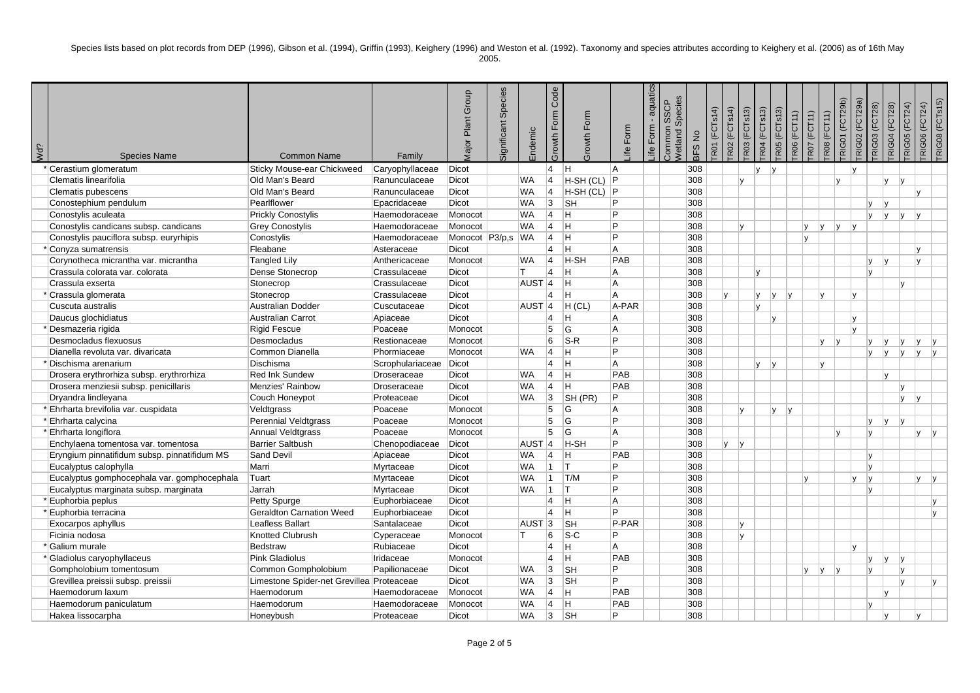Species lists based on plot records from DEP (1996), Gibson et al. (1994), Griffin (1993), Keighery (1996) and Weston et al. (1992). Taxonomy and species attributes according to Keighery et al. (2006) as of 16th May 2005.

| Wd? | <b>Species Name</b>                          | <b>Common Name</b>                        | Family           | Plant Group<br><b>Major</b> | Species<br>Significant | Endemic             | Code<br>Form<br>Growth I | Form<br>Growth | life Form      | aquatics<br>J.<br>life Form. | n SSCP<br>Species<br>Common<br>Vetland S | $\stackrel{\mathtt{o}}{z}$<br>BFS | <b>R02 (FCTs14)</b><br>R01 (FCTs14) | R03 (FCTs13) | <b>FR04 (FCTs13)</b> | <b>FRO5</b> (FCTs13) | <b>R06 (FCT11)</b> | <b>RO7 (FCT11)</b> | RIG01 (FCT29b)<br>R08 (FCT11) | <b>TRIGO2</b> (FCT29a) | <b>RIG03 (FCT28)</b> | <b>RIGO4 (FCT28)</b> | <b>RIG05 (FCT24)</b> | <b>TRIG08 (FCTs15)</b><br><b>TRIGO6 (FCT24)</b> |  |
|-----|----------------------------------------------|-------------------------------------------|------------------|-----------------------------|------------------------|---------------------|--------------------------|----------------|----------------|------------------------------|------------------------------------------|-----------------------------------|-------------------------------------|--------------|----------------------|----------------------|--------------------|--------------------|-------------------------------|------------------------|----------------------|----------------------|----------------------|-------------------------------------------------|--|
|     | * Cerastium glomeratum                       | Sticky Mouse-ear Chickweed                | Caryophyllaceae  | Dicot                       |                        |                     | $\vert 4 \vert$          | lн.            | A              |                              |                                          | 308                               |                                     |              | $\mathsf{v}$         | v                    |                    |                    |                               | $\mathsf{v}$           |                      |                      |                      |                                                 |  |
|     | Clematis linearifolia                        | Old Man's Beard                           | Ranunculaceae    | Dicot                       |                        | <b>WA</b>           | $\overline{4}$           | H-SH (CL)      | P              |                              |                                          | 308                               |                                     | v            |                      |                      |                    |                    |                               |                        |                      | v                    | IV.                  |                                                 |  |
|     | Clematis pubescens                           | Old Man's Beard                           | Ranunculaceae    | <b>Dicot</b>                |                        | <b>WA</b>           | $\vert$ 4                | $H-SH (CL)$ P  |                |                              |                                          | 308                               |                                     |              |                      |                      |                    |                    |                               |                        |                      |                      | IV.                  |                                                 |  |
|     | Conostephium pendulum                        | Pearlflower                               | Epacridaceae     | <b>Dicot</b>                |                        | <b>WA</b>           | 3                        | <b>SH</b>      | P              |                              |                                          | 308                               |                                     |              |                      |                      |                    |                    |                               |                        | $\mathbf{v}$         |                      |                      |                                                 |  |
|     | Conostylis aculeata                          | <b>Prickly Conostylis</b>                 | Haemodoraceae    | Monocot                     |                        | <b>WA</b>           | $\overline{4}$           | H.             | P              |                              |                                          | 308                               |                                     |              |                      |                      |                    |                    |                               |                        | $\mathbf{v}$         | V                    | V <br>۱v             |                                                 |  |
|     | Conostylis candicans subsp. candicans        | <b>Grey Conostylis</b>                    | Haemodoraceae    | Monocot                     |                        | <b>WA</b>           | $\overline{4}$           | lн.            | Þ              |                              |                                          | 308                               |                                     | $\mathsf{v}$ |                      |                      | l y                | v                  | y                             | Iv.                    |                      |                      |                      |                                                 |  |
|     | Conostylis pauciflora subsp. euryrhipis      | Conostylis                                | Haemodoraceae    | Monocot P3/p,s WA           |                        |                     | $\overline{4}$           | Η              | P              |                              |                                          | 308                               |                                     |              |                      |                      | Iv.                |                    |                               |                        |                      |                      |                      |                                                 |  |
|     | Conyza sumatrensis                           | Fleabane                                  | Asteraceae       | Dicot                       |                        |                     | 4                        | H              | A              |                              |                                          | 308                               |                                     |              |                      |                      |                    |                    |                               |                        |                      |                      | IV.                  |                                                 |  |
|     | Corynotheca micrantha var. micrantha         | <b>Tangled Lily</b>                       | Anthericaceae    | Monocot                     |                        | WA                  | $ 4\rangle$              | H-SH           | PAB            |                              |                                          | 308                               |                                     |              |                      |                      |                    |                    |                               |                        | $\mathsf{v}$         |                      | Iv.                  |                                                 |  |
|     | Crassula colorata var. colorata              | Dense Stonecrop                           | Crassulaceae     | <b>Dicot</b>                |                        | т                   | $\overline{4}$           | H.             | A              |                              |                                          | 308                               |                                     |              | Iv.                  |                      |                    |                    |                               |                        | $\mathsf{v}$         |                      |                      |                                                 |  |
|     | Crassula exserta                             | Stonecrop                                 | Crassulaceae     | Dicot                       |                        | AUST <sub>4</sub>   |                          | H              | A              |                              |                                          | 308                               |                                     |              |                      |                      |                    |                    |                               |                        |                      |                      |                      |                                                 |  |
|     | Crassula glomerata                           | Stonecrop                                 | Crassulaceae     | <b>Dicot</b>                |                        |                     | $\overline{\mathbf{A}}$  | Η              | $\overline{A}$ |                              |                                          | 308                               |                                     |              | ly.                  | Iv.                  | v                  | $\mathsf{v}$       |                               | $\mathsf{v}$           |                      |                      |                      |                                                 |  |
|     | Cuscuta australis                            | <b>Australian Dodder</b>                  | Cuscutaceae      | <b>Dicot</b>                |                        | $AUST$ <sup>1</sup> |                          | $H$ (CL)       | A-PAR          |                              |                                          | 308                               |                                     |              | $\mathbf{v}$         |                      |                    |                    |                               |                        |                      |                      |                      |                                                 |  |
|     | Daucus glochidiatus                          | <b>Australian Carrot</b>                  | Apiaceae         | Dicot                       |                        |                     | $\overline{4}$           | H.             | A              |                              |                                          | 308                               |                                     |              |                      | lv.                  |                    |                    |                               | l v                    |                      |                      |                      |                                                 |  |
|     | Desmazeria rigida                            | <b>Rigid Fescue</b>                       | Poaceae          | Monocot                     |                        |                     | 5                        | G              | A              |                              |                                          | 308                               |                                     |              |                      |                      |                    |                    |                               | $\mathsf{v}$           |                      |                      |                      |                                                 |  |
|     | Desmocladus flexuosus                        | Desmocladus                               | Restionaceae     | Monocot                     |                        |                     | 6                        | $ S-R$         | P              |                              |                                          | 308                               |                                     |              |                      |                      |                    | $\mathsf{v}$       | V                             |                        | v                    | lv                   | IV.<br>l y           |                                                 |  |
|     | Dianella revoluta var. divaricata            | Common Dianella                           | Phormiaceae      | Monocot                     |                        | WA                  | $\overline{4}$           | H.             | P              |                              |                                          | 308                               |                                     |              |                      |                      |                    |                    |                               |                        | <b>V</b>             | V                    | ly.<br>l y           | v                                               |  |
|     | * Dischisma arenarium                        | Dischisma                                 | Scrophulariaceae | Dicot                       |                        |                     | $\overline{4}$           | H              | A              |                              |                                          | 308                               |                                     |              | ly.                  | v                    |                    | v                  |                               |                        |                      |                      |                      |                                                 |  |
|     | Drosera erythrorhiza subsp. erythrorhiza     | <b>Red Ink Sundew</b>                     | Droseraceae      | Dicot                       |                        | <b>WA</b>           | $\vert 4 \vert$          | Iн.            | PAB            |                              |                                          | 308                               |                                     |              |                      |                      |                    |                    |                               |                        |                      |                      |                      |                                                 |  |
|     | Drosera menziesii subsp. penicillaris        | Menzies' Rainbow                          | Droseraceae      | Dicot                       |                        | <b>WA</b>           | $\overline{4}$           | н              | PAB            |                              |                                          | 308                               |                                     |              |                      |                      |                    |                    |                               |                        |                      |                      | lv                   |                                                 |  |
|     | Dryandra lindleyana                          | Couch Honeypot                            | Proteaceae       | <b>Dicot</b>                |                        | <b>WA</b>           | 3                        | SH (PR)        | P              |                              |                                          | 308                               |                                     |              |                      |                      |                    |                    |                               |                        |                      |                      | Iv.<br>۱v            |                                                 |  |
|     | Ehrharta brevifolia var. cuspidata           | Veldtgrass                                | Poaceae          | Monocot                     |                        |                     | 5                        | G              | $\overline{A}$ |                              |                                          | 308                               |                                     | IV.          |                      | IV.                  | $\mathsf{v}$       |                    |                               |                        |                      |                      |                      |                                                 |  |
|     | * Ehrharta calycina                          | Perennial Veldtgrass                      | Poaceae          | Monocot                     |                        |                     | 5                        | G              | P              |                              |                                          | 308                               |                                     |              |                      |                      |                    |                    |                               |                        | v                    | V                    | <b>V</b>             |                                                 |  |
|     | * Ehrharta longiflora                        | Annual Veldtgrass                         | Poaceae          | Monocot                     |                        |                     | 5                        | G              | $\overline{A}$ |                              |                                          | 308                               |                                     |              |                      |                      |                    |                    | lv.                           |                        | $\mathsf{v}$         |                      | lv.                  | v                                               |  |
|     | Enchylaena tomentosa var. tomentosa          | <b>Barrier Saltbush</b>                   | Chenopodiaceae   | Dicot                       |                        | AUST <sub>4</sub>   |                          | H-SH           | P              |                              |                                          | 308                               |                                     | v v          |                      |                      |                    |                    |                               |                        |                      |                      |                      |                                                 |  |
|     | Eryngium pinnatifidum subsp. pinnatifidum MS | Sand Devil                                | Apiaceae         | Dicot                       |                        | <b>WA</b>           | $\overline{4}$           | Iн.            | PAB            |                              |                                          | 308                               |                                     |              |                      |                      |                    |                    |                               |                        | $\mathsf{v}$         |                      |                      |                                                 |  |
|     | Eucalyptus calophylla                        | Marri                                     | Myrtaceae        | <b>Dicot</b>                |                        | <b>WA</b>           | $\vert$ 1                | İΤ             | P              |                              |                                          | 308                               |                                     |              |                      |                      |                    |                    |                               |                        | $\mathsf{v}$         |                      |                      |                                                 |  |
|     | Eucalyptus gomphocephala var. gomphocephala  | Tuart                                     | Myrtaceae        | <b>Dicot</b>                |                        | <b>WA</b>           | $ 1\rangle$              | T/M            | P              |                              |                                          | 308                               |                                     |              |                      |                      | lv                 |                    |                               | $\mathsf{v}$           | Iv.                  |                      | lv.                  | v                                               |  |
|     | Eucalyptus marginata subsp. marginata        | Jarrah                                    | Myrtaceae        | Dicot                       |                        | <b>WA</b>           | $\vert$ 1                | İΤ             | P              |                              |                                          | 308                               |                                     |              |                      |                      |                    |                    |                               |                        | $\mathsf{v}$         |                      |                      |                                                 |  |
|     | Euphorbia peplus                             | <b>Petty Spurge</b>                       | Euphorbiaceae    | <b>Dicot</b>                |                        |                     | $\overline{4}$           | lН.            | $\overline{A}$ |                              |                                          | 308                               |                                     |              |                      |                      |                    |                    |                               |                        |                      |                      |                      | $\mathsf{v}$                                    |  |
|     | Euphorbia terracina                          | <b>Geraldton Carnation Weed</b>           | Euphorbiaceae    | <b>Dicot</b>                |                        |                     | $\overline{4}$           | H.             | P              |                              |                                          | 308                               |                                     |              |                      |                      |                    |                    |                               |                        |                      |                      |                      | lv                                              |  |
|     | Exocarpos aphyllus                           | Leafless Ballart                          | Santalaceae      | <b>Dicot</b>                |                        | $AUST$ <sub>3</sub> |                          | <b>SH</b>      | P-PAR          |                              |                                          | 308                               |                                     | $\mathsf{v}$ |                      |                      |                    |                    |                               |                        |                      |                      |                      |                                                 |  |
|     | Ficinia nodosa                               | Knotted Clubrush                          | Cyperaceae       | Monocot                     |                        | т                   | 6                        | $ S-C$         | P              |                              |                                          | 308                               |                                     | lv.          |                      |                      |                    |                    |                               |                        |                      |                      |                      |                                                 |  |
|     | * Galium murale                              | <b>Bedstraw</b>                           | Rubiaceae        | <b>Dicot</b>                |                        |                     | $\overline{4}$           | lН.            | $\overline{A}$ |                              |                                          | 308                               |                                     |              |                      |                      |                    |                    |                               | V                      |                      |                      |                      |                                                 |  |
|     | * Gladiolus caryophyllaceus                  | <b>Pink Gladiolus</b>                     | Iridaceae        | Monocot                     |                        |                     | $\overline{4}$           | H.             | PAB            |                              |                                          | 308                               |                                     |              |                      |                      |                    |                    |                               |                        | $\mathsf{v}$         | M                    | IV.                  |                                                 |  |
|     | Gompholobium tomentosum                      | Common Gompholobium                       | Papilionaceae    | Dicot                       |                        | <b>WA</b>           | 3                        | <b>SH</b>      | P              |                              |                                          | 308                               |                                     |              |                      |                      | lv                 | V                  | IV.                           |                        | v                    |                      | lv                   |                                                 |  |
|     | Grevillea preissii subsp. preissii           | Limestone Spider-net Grevillea Proteaceae |                  | Dicot                       |                        | <b>WA</b>           | 3                        | <b>SH</b>      | P              |                              |                                          | 308                               |                                     |              |                      |                      |                    |                    |                               |                        |                      |                      | lv.                  |                                                 |  |
|     | Haemodorum laxum                             | Haemodorum                                | Haemodoraceae    | Monocot                     |                        | WA                  | $ 4\rangle$              | H.             | PAB            |                              |                                          | 308                               |                                     |              |                      |                      |                    |                    |                               |                        |                      | ١v                   |                      |                                                 |  |
|     | Haemodorum paniculatum                       | Haemodorum                                | Haemodoraceae    | Monocot                     |                        | <b>WA</b>           | $\vert$ 4                | H.             | PAB            |                              |                                          | 308                               |                                     |              |                      |                      |                    |                    |                               |                        | $\mathsf{v}$         |                      |                      |                                                 |  |
|     | Hakea lissocarpha                            | Honevbush                                 | Proteaceae       | <b>Dicot</b>                |                        | <b>WA</b>           | 3                        | <b>SH</b>      | P              |                              |                                          | 308                               |                                     |              |                      |                      |                    |                    |                               |                        |                      | $\mathbf{v}$         | lv.                  |                                                 |  |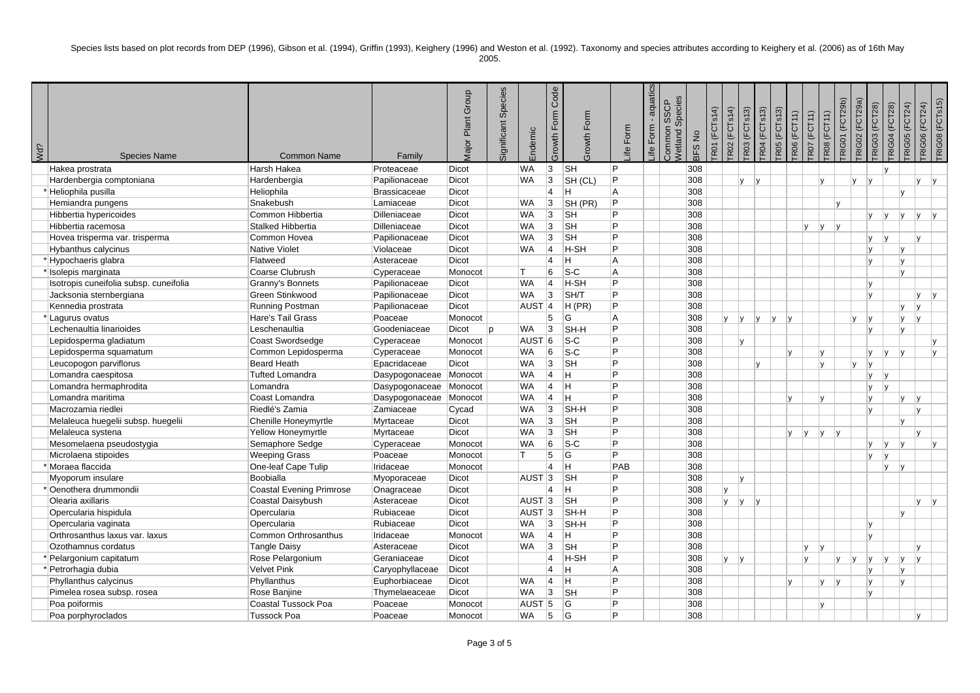Species lists based on plot records from DEP (1996), Gibson et al. (1994), Griffin (1993), Keighery (1996) and Weston et al. (1992). Taxonomy and species attributes according to Keighery et al. (2006) as of 16th May

| ٧ |
|---|
|---|

| Wd? | <b>Species Name</b>                    | <b>Common Name</b>         | Family                 | Major Plant Group | Species<br>Significant | Endemic           | Code<br>Form<br>Growth | Form<br>Growth | Form<br>$\stackrel{\oplus}{\equiv}$ | aquatics<br>Form<br>Life | Species<br><b>SSCP</b><br>ommon<br>Vetland: | $\stackrel{\mathtt{o}}{z}$<br>BFS | <b>FR01 (FCTs14)</b> | <b>TR02 (FCTs14)</b> | <b>FR03</b> (FCTs13) | <b>FR04 (FCTs13)</b> | <b>TR05 (FCTs13)</b> | <b>RO6</b> (FCT11) | <b>FRO7</b> (FCT11) | <b>TROB</b> (FCT11) | <b>TRIG01 (FCT29b)</b> | <b>TRIG02</b> (FCT29a)<br>RIG03 (FCT28) | <b>TRIG04 (FCT28)</b> | <b>TRIG05 (FCT24)</b> | <b>TRIGO6 (FCT24)</b> | TRIG08 (FCTs15) |
|-----|----------------------------------------|----------------------------|------------------------|-------------------|------------------------|-------------------|------------------------|----------------|-------------------------------------|--------------------------|---------------------------------------------|-----------------------------------|----------------------|----------------------|----------------------|----------------------|----------------------|--------------------|---------------------|---------------------|------------------------|-----------------------------------------|-----------------------|-----------------------|-----------------------|-----------------|
|     | Hakea prostrata                        | Harsh Hakea                | Proteaceae             | <b>Dicot</b>      |                        | <b>WA</b>         | $ 3\rangle$            | <b>SH</b>      | <b>P</b>                            |                          |                                             | 308                               |                      |                      |                      |                      |                      |                    |                     |                     |                        |                                         |                       |                       |                       |                 |
|     | Hardenbergia comptoniana               | Hardenbergia               | Papilionaceae          | <b>Dicot</b>      |                        | <b>WA</b>         | 3                      | SH (CL)        | <b>P</b>                            |                          |                                             | 308                               |                      |                      | <b>y</b><br> V       |                      |                      |                    | lv.                 |                     | v                      | $\mathsf{I} \mathsf{V}$                 |                       |                       | v                     | v               |
|     | * Heliophila pusilla                   | Heliophila                 | <b>Brassicaceae</b>    | Dicot             |                        |                   | 4                      | ΙH             | l A                                 |                          |                                             | 308                               |                      |                      |                      |                      |                      |                    |                     |                     |                        |                                         |                       | Iv.                   |                       |                 |
|     | Hemiandra pungens                      | Snakebush                  | Lamiaceae              | <b>Dicot</b>      |                        | <b>WA</b>         | 3                      | SH (PR)        | $\overline{P}$                      |                          |                                             | 308                               |                      |                      |                      |                      |                      |                    |                     | lv.                 |                        |                                         |                       |                       |                       |                 |
|     | Hibbertia hypericoides                 | Common Hibbertia           | Dilleniaceae           | <b>Dicot</b>      |                        | <b>WA</b>         | 3                      | <b>SH</b>      | <b>P</b>                            |                          |                                             | 308                               |                      |                      |                      |                      |                      |                    |                     |                     |                        | v                                       | $\mathsf{v}$          | V                     | Iv.                   | $\mathsf{v}$    |
|     | Hibbertia racemosa                     | Stalked Hibbertia          | Dilleniaceae           | Dicot             |                        | <b>WA</b>         | 3                      | <b>SH</b>      | Þ                                   |                          |                                             | 308                               |                      |                      |                      |                      |                      | <b>y</b>           | ly.                 | v                   |                        |                                         |                       |                       |                       |                 |
|     | Hovea trisperma var. trisperma         | Common Hovea               | Papilionaceae          | <b>Dicot</b>      |                        | <b>WA</b>         | 3                      | <b>SH</b>      | Þ                                   |                          |                                             | 308                               |                      |                      |                      |                      |                      |                    |                     |                     |                        | v                                       |                       |                       | $\mathbf{v}$          |                 |
|     | Hybanthus calycinus                    | Native Violet              | Violaceae              | <b>Dicot</b>      |                        | <b>WA</b>         | $\vert$ 4              | H-SH           | <b>P</b>                            |                          |                                             | 308                               |                      |                      |                      |                      |                      |                    |                     |                     |                        | $\vee$                                  |                       | IV.                   |                       |                 |
|     | *Hypochaeris glabra                    | Flatweed                   | Asteraceae             | <b>Dicot</b>      |                        |                   | 4                      | ÌН.            | ΙA                                  |                          |                                             | 308                               |                      |                      |                      |                      |                      |                    |                     |                     |                        | v                                       |                       | lv.                   |                       |                 |
|     | * Isolepis marginata                   | Coarse Clubrush            | Cyperaceae             | Monocot           |                        | IT.               | 6                      | $S-C$          | A                                   |                          |                                             | 308                               |                      |                      |                      |                      |                      |                    |                     |                     |                        |                                         |                       | Iv.                   |                       |                 |
|     | Isotropis cuneifolia subsp. cuneifolia | Granny's Bonnets           | Papilionaceae          | <b>Dicot</b>      |                        | <b>WA</b>         | 4                      | H-SH           | Þ                                   |                          |                                             | 308                               |                      |                      |                      |                      |                      |                    |                     |                     |                        | $\vee$                                  |                       |                       |                       |                 |
|     | Jacksonia sternbergiana                | Green Stinkwood            | Papilionaceae          | <b>Dicot</b>      |                        | <b>WA</b>         | 3                      | SH/T           | Þ                                   |                          |                                             | 308                               |                      |                      |                      |                      |                      |                    |                     |                     |                        | $\mathsf{v}$                            |                       |                       | v                     |                 |
|     | Kennedia prostrata                     | Running Postman            | Papilionaceae          | <b>Dicot</b>      |                        | AUST <sub>4</sub> |                        | $H$ (PR)       | <b>P</b>                            |                          |                                             | 308                               |                      |                      |                      |                      |                      |                    |                     |                     |                        |                                         |                       | IV.                   | IV.                   |                 |
|     | *Lagurus ovatus                        | Hare's Tail Grass          | Poaceae                | Monocot           |                        |                   | 5                      | <b>G</b>       | A                                   |                          |                                             | 308                               |                      | V                    | y <br> y             | y                    | v                    |                    |                     |                     | v                      | v                                       |                       | lv.                   | l v                   |                 |
|     | Lechenaultia linarioides               | Leschenaultia              | Goodeniaceae           | Dicot             | <sub>n</sub>           | <b>WA</b>         | 3                      | SH-H           | <b>P</b>                            |                          |                                             | 308                               |                      |                      |                      |                      |                      |                    |                     |                     |                        | $\mathbf{v}$                            |                       | $\mathsf{v}$          |                       |                 |
|     | Lepidosperma gladiatum                 | Coast Swordsedge           | Cyperaceae             | Monocot           |                        | AUST <sub>6</sub> |                        | $ S-C$         | Þ                                   |                          |                                             | 308                               |                      |                      | v                    |                      |                      |                    |                     |                     |                        |                                         |                       |                       |                       |                 |
|     | Lepidosperma squamatum                 | Common Lepidosperma        | Cyperaceae             | Monocot           |                        | <b>WA</b>         | 6                      | $ S-C $        | l P                                 |                          |                                             | 308                               |                      |                      |                      |                      | v                    |                    | Iv.                 |                     |                        | v                                       | lv.                   | lv                    |                       |                 |
|     | Leucopogon parviflorus                 | <b>Beard Heath</b>         | Epacridaceae           | <b>Dicot</b>      |                        | <b>WA</b>         | 3                      | <b>SH</b>      | l P                                 |                          |                                             | 308                               |                      |                      | IV.                  |                      |                      |                    | Iv.                 |                     | v                      | $\vee$                                  |                       |                       |                       |                 |
|     | Lomandra caespitosa                    | <b>Tufted Lomandra</b>     | Dasypogonaceae Monocot |                   |                        | <b>WA</b>         | 4                      | ÌН.            | <b>P</b>                            |                          |                                             | 308                               |                      |                      |                      |                      |                      |                    |                     |                     |                        | v                                       |                       |                       |                       |                 |
|     | Lomandra hermaphrodita                 | Lomandra                   | Dasypogonaceae Monocot |                   |                        | <b>WA</b>         | $ 4\rangle$            | ÌН.            | l P                                 |                          |                                             | 308                               |                      |                      |                      |                      |                      |                    |                     |                     |                        | $\mathsf{v}$                            |                       |                       |                       |                 |
|     | Lomandra maritima                      | Coast Lomandra             | Dasypogonaceae Monocot |                   |                        | <b>WA</b>         | 4                      | lн.            | Þ                                   |                          |                                             | 308                               |                      |                      |                      |                      | $\mathsf{v}$         |                    | lv.                 |                     |                        | $\mathsf{v}$                            |                       | lv.                   | l v                   |                 |
|     | Macrozamia riedlei                     | Riedlé's Zamia             | Zamiaceae              | Cycad             |                        | <b>WA</b>         | 3                      | SH-H           | l P                                 |                          |                                             | 308                               |                      |                      |                      |                      |                      |                    |                     |                     |                        | v                                       |                       |                       | $\mathsf{v}$          |                 |
|     | Melaleuca huegelii subsp. huegelii     | Chenille Honeymyrtle       | Myrtaceae              | <b>Dicot</b>      |                        | <b>WA</b>         | 3                      | <b>SH</b>      | Þ                                   |                          |                                             | 308                               |                      |                      |                      |                      |                      |                    |                     |                     |                        |                                         |                       |                       |                       |                 |
|     | Melaleuca systena                      | Yellow Honeymyrtle         | Myrtaceae              | <b>Dicot</b>      |                        | <b>WA</b>         | 3                      | <b>SH</b>      | <b>P</b>                            |                          |                                             | 308                               |                      |                      |                      |                      |                      | lv.<br> y          | ly.                 | v                   |                        |                                         |                       |                       | v                     |                 |
|     | Mesomelaena pseudostygia               | Semaphore Sedge            | Cyperaceae             | Monocot           |                        | <b>WA</b>         | 6                      | $ S-C$         | Þ                                   |                          |                                             | 308                               |                      |                      |                      |                      |                      |                    |                     |                     |                        | v                                       | IV.                   | $\mathsf{v}$          |                       |                 |
|     | Microlaena stipoides                   | <b>Weeping Grass</b>       | Poaceae                | Monocot           |                        | IT.               | 5                      | lG.            | Þ                                   |                          |                                             | 308                               |                      |                      |                      |                      |                      |                    |                     |                     |                        | <b>v</b>                                | Iv.                   |                       |                       |                 |
|     | * Moraea flaccida                      | One-leaf Cape Tulip        | Iridaceae              | Monocot           |                        |                   | 4                      | Iн.            | PAB                                 |                          |                                             | 308                               |                      |                      |                      |                      |                      |                    |                     |                     |                        |                                         | <b>V</b>              | V                     |                       |                 |
|     | Myoporum insulare                      | Boobialla                  | Myoporaceae            | <b>Dicot</b>      |                        | <b>AUST</b>       | $ 3\rangle$            | ∣sн            | l P                                 |                          |                                             | 308                               |                      |                      | $\mathsf{v}$         |                      |                      |                    |                     |                     |                        |                                         |                       |                       |                       |                 |
|     | * Oenothera drummondii                 | Coastal Evening Primrose   | Onagraceae             | Dicot             |                        |                   | $\overline{4}$         | Iн.            | <b>P</b>                            |                          |                                             | 308                               |                      |                      |                      |                      |                      |                    |                     |                     |                        |                                         |                       |                       |                       |                 |
|     | Olearia axillaris                      | Coastal Daisybush          | Asteraceae             | <b>Dicot</b>      |                        | AUST <sub>3</sub> |                        | <b>SH</b>      | Þ                                   |                          |                                             | 308                               |                      | v                    | y <br> V             |                      |                      |                    |                     |                     |                        |                                         |                       |                       | IV.                   | v               |
|     | Opercularia hispidula                  | Opercularia                | Rubiaceae              | <b>Dicot</b>      |                        | AUST <sub>3</sub> |                        | SH-H           | Þ                                   |                          |                                             | 308                               |                      |                      |                      |                      |                      |                    |                     |                     |                        |                                         |                       | Iv.                   |                       |                 |
|     | Opercularia vaginata                   | Opercularia                | Rubiaceae              | <b>Dicot</b>      |                        | <b>WA</b>         | 3                      | SH-H           | Þ                                   |                          |                                             | 308                               |                      |                      |                      |                      |                      |                    |                     |                     |                        | $\mathsf{v}$                            |                       |                       |                       |                 |
|     | Orthrosanthus laxus var. laxus         | Common Orthrosanthus       | Iridaceae              | Monocot           |                        | <b>WA</b>         | $\vert$ 4              | lн.            | <b>P</b>                            |                          |                                             | 308                               |                      |                      |                      |                      |                      |                    |                     |                     |                        | $\mathsf{v}$                            |                       |                       |                       |                 |
|     | Ozothamnus cordatus                    | <b>Tangle Daisy</b>        | Asteraceae             | <b>Dicot</b>      |                        | <b>WA</b>         | 3                      | <b>SH</b>      | Þ                                   |                          |                                             | 308                               |                      |                      |                      |                      |                      | ly.                | ΙV                  |                     |                        |                                         |                       |                       | v                     |                 |
|     | * Pelargonium capitatum                | Rose Pelargonium           | Geraniaceae            | <b>Dicot</b>      |                        |                   | 4                      | H-SH           | Þ                                   |                          |                                             | 308                               |                      | v                    | v                    |                      |                      | $\mathsf{v}$       |                     | $\mathsf{v}$        | $\mathbf{v}$           | $\vee$                                  |                       | IV.                   | l v                   |                 |
|     | * Petrorhagia dubia                    | Velvet Pink                | Caryophyllaceae        | Dicot             |                        |                   | 4                      | İΗ             | A                                   |                          |                                             | 308                               |                      |                      |                      |                      |                      |                    |                     |                     |                        | v                                       |                       | Iv.                   |                       |                 |
|     | Phyllanthus calycinus                  | Phyllanthus                | Euphorbiaceae          | <b>Dicot</b>      |                        | <b>WA</b>         | $\overline{4}$         | ÌН.            | <b>P</b>                            |                          |                                             | 308                               |                      |                      |                      |                      | $\mathsf{v}$         |                    | IV.                 | $\mathsf{v}$        |                        | v                                       |                       | $\mathsf{v}$          |                       |                 |
|     | Pimelea rosea subsp. rosea             | Rose Banjine               | Thymelaeaceae          | <b>Dicot</b>      |                        | <b>WA</b>         | 3                      | ∣sн            | <b>P</b>                            |                          |                                             | 308                               |                      |                      |                      |                      |                      |                    |                     |                     |                        | v                                       |                       |                       |                       |                 |
|     | Poa poiformis                          | <b>Coastal Tussock Poa</b> | Poaceae                | Monocot           |                        | AUST 5            |                        | lG.            | Þ                                   |                          |                                             | 308                               |                      |                      |                      |                      |                      |                    | Iv.                 |                     |                        |                                         |                       |                       |                       |                 |
|     | Poa porphyroclados                     | <b>Tussock Poa</b>         | Poaceae                | Monocot           |                        | <b>WA</b>         | 5                      | <sup>c</sup>   | Þ                                   |                          |                                             | 308                               |                      |                      |                      |                      |                      |                    |                     |                     |                        |                                         |                       |                       | IV.                   |                 |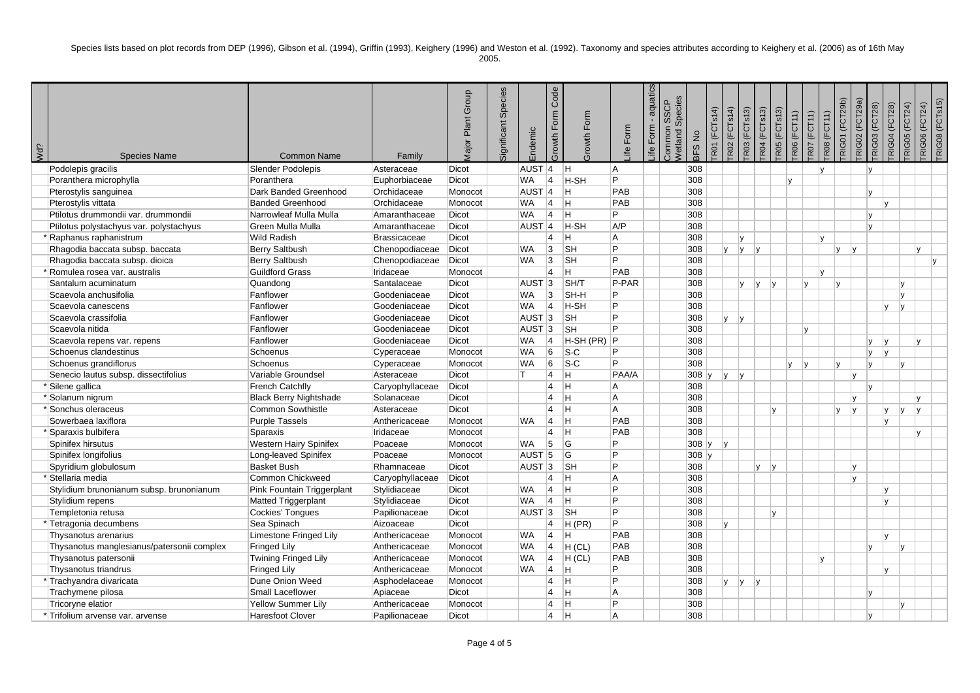Species lists based on plot records from DEP (1996), Gibson et al. (1994), Griffin (1993), Keighery (1996) and Weston et al. (1992). Taxonomy and species attributes according to Keighery et al. (2006) as of 16th May

| Wd? | <b>Species Name</b>                        | <b>Common Name</b>            | Family              | <b>Aajor Plant Group</b> | Species<br>Significant | Endemic           | Code<br>Form<br>Growth | Growth Form               | Life Form | aquatics<br>Form<br>_ife | <b>I</b> SSCP<br>Species<br>Common<br>Vetland S | BFS No  | (FCTs14)<br><b>TRO1</b> | <b>FR02</b> (FCTs14) | <b>FR03</b> (FCTs13) | <b>TR04 (FCTs13)</b><br><b>FROS</b> (FCTs13) | <b>FRO6</b> (FCT11) | <b>TRO7</b> (FCT11) | <b>FROB</b> (FCT11) | <b>TRIG01 (FCT29b)</b> | <b>TRIG02</b> (FCT29a) | <b>FRIGO3</b> (FCT28) | <b>TRIG04 (FCT28)</b> | <b>RIGO5</b> (FCT24) | <b>TRIG06 (FCT24)</b> | TRIG08 (FCTs15) |
|-----|--------------------------------------------|-------------------------------|---------------------|--------------------------|------------------------|-------------------|------------------------|---------------------------|-----------|--------------------------|-------------------------------------------------|---------|-------------------------|----------------------|----------------------|----------------------------------------------|---------------------|---------------------|---------------------|------------------------|------------------------|-----------------------|-----------------------|----------------------|-----------------------|-----------------|
|     | Podolepis gracilis                         | Slender Podolepis             | Asteraceae          | Dicot                    |                        | AUST 4            |                        | lН.                       | A         |                          |                                                 | 308     |                         |                      |                      |                                              |                     |                     | $\mathsf{v}$        |                        |                        | $\mathsf{v}$          |                       |                      |                       |                 |
|     | Poranthera microphylla                     | Poranthera                    | Euphorbiaceae       | Dicot                    |                        | <b>WA</b>         | $\overline{4}$         | H-SH                      | Þ         |                          |                                                 | 308     |                         |                      |                      |                                              | v                   |                     |                     |                        |                        |                       |                       |                      |                       |                 |
|     | Pterostylis sanguinea                      | Dark Banded Greenhood         | Orchidaceae         | Monocot                  |                        | $AUST$ 4          |                        | ΙH.                       | PAB       |                          |                                                 | 308     |                         |                      |                      |                                              |                     |                     |                     |                        |                        | $\mathsf{v}$          |                       |                      |                       |                 |
|     | Pterostylis vittata                        | <b>Banded Greenhood</b>       | Orchidaceae         | Monocot                  |                        | WA                | 4                      | lн.                       | PAB       |                          |                                                 | 308     |                         |                      |                      |                                              |                     |                     |                     |                        |                        |                       | lv                    |                      |                       |                 |
|     | Ptilotus drummondii var. drummondii        | Narrowleaf Mulla Mulla        | Amaranthaceae       | Dicot                    |                        | <b>WA</b>         | $\vert$ 4              | lн.                       | Þ         |                          |                                                 | 308     |                         |                      |                      |                                              |                     |                     |                     |                        |                        | $\mathbf{v}$          |                       |                      |                       |                 |
|     | Ptilotus polystachyus var. polystachyus    | Green Mulla Mulla             | Amaranthaceae       | Dicot                    |                        | $AUST$ 4          |                        | H-SH                      | A/P       |                          |                                                 | 308     |                         |                      |                      |                                              |                     |                     |                     |                        |                        | $\mathsf{v}$          |                       |                      |                       |                 |
|     | Raphanus raphanistrum                      | <b>Wild Radish</b>            | <b>Brassicaceae</b> | Dicot                    |                        |                   | $\overline{4}$         | lн.                       | A         |                          |                                                 | 308     |                         | $\mathsf{v}$         |                      |                                              |                     |                     | v                   |                        |                        |                       |                       |                      |                       |                 |
|     | Rhagodia baccata subsp. baccata            | Berry Saltbush                | Chenopodiaceae      | Dicot                    |                        | <b>WA</b>         | 3                      | <sub>SH</sub>             | P         |                          |                                                 | 308     | lv.                     | y                    | V                    |                                              |                     |                     |                     | lv.                    | v                      |                       |                       |                      | IV.                   |                 |
|     | Rhagodia baccata subsp. dioica             | Berry Saltbush                | Chenopodiaceae      | Dicot                    |                        | WA                | 3                      | <sub>SH</sub>             | Þ         |                          |                                                 | 308     |                         |                      |                      |                                              |                     |                     |                     |                        |                        |                       |                       |                      |                       | v               |
|     | Romulea rosea var. australis               | <b>Guildford Grass</b>        | Iridaceae           | Monocot                  |                        |                   | $\overline{4}$         | lн.                       | PAB       |                          |                                                 | 308     |                         |                      |                      |                                              |                     |                     | $\mathsf{v}$        |                        |                        |                       |                       |                      |                       |                 |
|     | Santalum acuminatum                        | Quandong                      | Santalaceae         | Dicot                    |                        | $AUST$ 3          |                        | SH/T                      | P-PAR     |                          |                                                 | 308     |                         |                      | <b>V</b><br> V       | $\mathsf{v}$                                 |                     | lv                  |                     | $\mathbf{v}$           |                        |                       |                       | lv.                  |                       |                 |
|     | Scaevola anchusifolia                      | Fanflower                     | Goodeniaceae        | Dicot                    |                        | <b>WA</b>         | 3                      | SH-H                      | P         |                          |                                                 | 308     |                         |                      |                      |                                              |                     |                     |                     |                        |                        |                       |                       | IV.                  |                       |                 |
|     | Scaevola canescens                         | Fanflower                     | Goodeniaceae        | Dicot                    |                        | WA                | 4                      | H-SH                      | Þ         |                          |                                                 | 308     |                         |                      |                      |                                              |                     |                     |                     |                        |                        |                       | lv                    | IV.                  |                       |                 |
|     | Scaevola crassifolia                       | Fanflower                     | Goodeniaceae        | Dicot                    |                        | AUST <sub>3</sub> |                        | <b>SH</b>                 | Þ         |                          |                                                 | 308     |                         | lv.<br> v            |                      |                                              |                     |                     |                     |                        |                        |                       |                       |                      |                       |                 |
|     | Scaevola nitida                            | Fanflower                     | Goodeniaceae        | Dicot                    |                        | $AUST$ 3          |                        | <b>SH</b>                 | P         |                          |                                                 | 308     |                         |                      |                      |                                              |                     | $\mathsf{v}$        |                     |                        |                        |                       |                       |                      |                       |                 |
|     | Scaevola repens var. repens                | Fanflower                     | Goodeniaceae        | Dicot                    |                        | <b>WA</b>         | 4                      | H-SH (PR)                 | Þ         |                          |                                                 | 308     |                         |                      |                      |                                              |                     |                     |                     |                        |                        | $\mathsf{v}$          | $\mathsf{v}$          | v                    |                       |                 |
|     | Schoenus clandestinus                      | Schoenus                      | Cyperaceae          | Monocot                  |                        | <b>WA</b>         | 6                      | $S-C$                     | Þ         |                          |                                                 | 308     |                         |                      |                      |                                              |                     |                     |                     |                        |                        | V                     |                       |                      |                       |                 |
|     | Schoenus grandiflorus                      | Schoenus                      | Cyperaceae          | Monocot                  |                        | <b>WA</b>         | 6                      | $ S-C $                   | Þ         |                          |                                                 | 308     |                         |                      |                      |                                              | v                   | V                   |                     | IV.                    |                        | Iv.                   |                       | lv.                  |                       |                 |
|     | Senecio lautus subsp. dissectifolius       | Variable Groundsel            | Asteraceae          | Dicot                    |                        | T.                | $\overline{4}$         | ÌН.                       | PAA/A     |                          |                                                 | $308$ y | v                       | V                    |                      |                                              |                     |                     |                     |                        | IV.                    |                       |                       |                      |                       |                 |
|     | <sup>*</sup>  Silene gallica               | <b>French Catchfly</b>        | Caryophyllaceae     | Dicot                    |                        |                   | $\overline{4}$         | lн.                       | A         |                          |                                                 | 308     |                         |                      |                      |                                              |                     |                     |                     |                        |                        | $\mathbf{v}$          |                       |                      |                       |                 |
|     | Solanum nigrum                             | <b>Black Berry Nightshade</b> | Solanaceae          | Dicot                    |                        |                   | $\overline{4}$         | Iн.                       | A         |                          |                                                 | 308     |                         |                      |                      |                                              |                     |                     |                     |                        | Iv.                    |                       |                       | $\mathsf{v}$         |                       |                 |
|     | Sonchus oleraceus                          | Common Sowthistle             | Asteraceae          | Dicot                    |                        |                   | $\overline{4}$         | Iн.                       | A         |                          |                                                 | 308     |                         |                      |                      | Iv.                                          |                     |                     |                     | V                      | y                      |                       | ly.                   | ۱v<br>l y            |                       |                 |
|     | Sowerbaea laxiflora                        | <b>Purple Tassels</b>         | Anthericaceae       | Monocot                  |                        | <b>WA</b>         | 4                      | lН.                       | PAB       |                          |                                                 | 308     |                         |                      |                      |                                              |                     |                     |                     |                        |                        |                       | ١v                    |                      |                       |                 |
|     | Sparaxis bulbifera                         | Sparaxis                      | Iridaceae           | Monocot                  |                        |                   | $\overline{4}$         | Iн.                       | PAB       |                          |                                                 | 308     |                         |                      |                      |                                              |                     |                     |                     |                        |                        |                       |                       | ۱v                   |                       |                 |
|     | Spinifex hirsutus                          | <b>Western Hairy Spinifex</b> | Poaceae             | Monocot                  |                        | WA                | 5                      | <b>G</b>                  | Þ         |                          |                                                 | $308$ y | v                       |                      |                      |                                              |                     |                     |                     |                        |                        |                       |                       |                      |                       |                 |
|     | Spinifex longifolius                       | Long-leaved Spinifex          | Poaceae             | Monocot                  |                        | <b>AUST</b>       | 5                      | G                         | Þ         |                          |                                                 | $308$ y |                         |                      |                      |                                              |                     |                     |                     |                        |                        |                       |                       |                      |                       |                 |
|     | Spyridium globulosum                       | <b>Basket Bush</b>            | Rhamnaceae          | Dicot                    |                        | AUST $ 3 $        |                        | ∣sн                       | Þ         |                          |                                                 | 308     |                         |                      | IV.                  | $\mathsf{v}$                                 |                     |                     |                     |                        | l v                    |                       |                       |                      |                       |                 |
|     | Stellaria media                            | Common Chickweed              | Caryophyllaceae     | Dicot                    |                        |                   | $\overline{4}$         | Iн.                       | l A       |                          |                                                 | 308     |                         |                      |                      |                                              |                     |                     |                     |                        | Iv.                    |                       |                       |                      |                       |                 |
|     | Stylidium brunonianum subsp. brunonianum   | Pink Fountain Triggerplant    | Stylidiaceae        | Dicot                    |                        | <b>WA</b>         | 4                      | lн.                       | Þ         |                          |                                                 | 308     |                         |                      |                      |                                              |                     |                     |                     |                        |                        |                       | ١v                    |                      |                       |                 |
|     | Stylidium repens                           | Matted Triggerplant           | Stylidiaceae        | Dicot                    |                        | <b>WA</b>         | $\vert$ 4              | lH.                       | P         |                          |                                                 | 308     |                         |                      |                      |                                              |                     |                     |                     |                        |                        |                       | v                     |                      |                       |                 |
|     | Templetonia retusa                         | Cockies' Tongues              | Papilionaceae       | Dicot                    |                        | AUST <sub>3</sub> |                        | $\overline{\mathsf{S}}$ H | Þ         |                          |                                                 | 308     |                         |                      |                      | <b>v</b>                                     |                     |                     |                     |                        |                        |                       |                       |                      |                       |                 |
|     | * Tetragonia decumbens                     | Sea Spinach                   | Aizoaceae           | Dicot                    |                        |                   | $\overline{4}$         | $H$ (PR)                  | P         |                          |                                                 | 308     | $\mathsf{v}$            |                      |                      |                                              |                     |                     |                     |                        |                        |                       |                       |                      |                       |                 |
|     | Thysanotus arenarius                       | Limestone Fringed Lily        | Anthericaceae       | Monocot                  |                        | <b>WA</b>         | $\vert$ 4              | lн.                       | PAB       |                          |                                                 | 308     |                         |                      |                      |                                              |                     |                     |                     |                        |                        |                       |                       |                      |                       |                 |
|     | Thysanotus manglesianus/patersonii complex | Fringed Lily                  | Anthericaceae       | Monocot                  |                        | <b>WA</b>         | $\overline{4}$         | H (CL)                    | PAB       |                          |                                                 | 308     |                         |                      |                      |                                              |                     |                     |                     |                        |                        | v                     |                       | Iv.                  |                       |                 |
|     | Thysanotus patersonii                      | Twining Fringed Lily          | Anthericaceae       | Monocot                  |                        | <b>WA</b>         | $\vert$ 4              | H (CL)                    | PAB       |                          |                                                 | 308     |                         |                      |                      |                                              |                     |                     | $\mathsf{v}$        |                        |                        |                       |                       |                      |                       |                 |
|     | Thysanotus triandrus                       | <b>Fringed Lily</b>           | Anthericaceae       | Monocot                  |                        | <b>WA</b>         | $\overline{4}$         | lн.                       | Þ         |                          |                                                 | 308     |                         |                      |                      |                                              |                     |                     |                     |                        |                        |                       | lv                    |                      |                       |                 |
|     | * Trachyandra divaricata                   | Dune Onion Weed               | Asphodelaceae       | Monocot                  |                        |                   | $\overline{4}$         | lН.                       | P         |                          |                                                 | 308     |                         | $y \mid y$           | V                    |                                              |                     |                     |                     |                        |                        |                       |                       |                      |                       |                 |
|     | Trachymene pilosa                          | Small Laceflower              | Apiaceae            | Dicot                    |                        |                   | $\overline{4}$         | lН.                       | A         |                          |                                                 | 308     |                         |                      |                      |                                              |                     |                     |                     |                        |                        | V                     |                       |                      |                       |                 |
|     | Tricoryne elatior                          | Yellow Summer Lily            | Anthericaceae       | Monocot                  |                        |                   | $\overline{4}$         | lн.                       | Þ         |                          |                                                 | 308     |                         |                      |                      |                                              |                     |                     |                     |                        |                        |                       |                       | IV.                  |                       |                 |
|     | * Trifolium arvense var. arvense           | <b>Haresfoot Clover</b>       | Papilionaceae       | Dicot                    |                        |                   | $\overline{4}$         | Iн.                       | A         |                          |                                                 | 308     |                         |                      |                      |                                              |                     |                     |                     |                        |                        | Iv.                   |                       |                      |                       |                 |